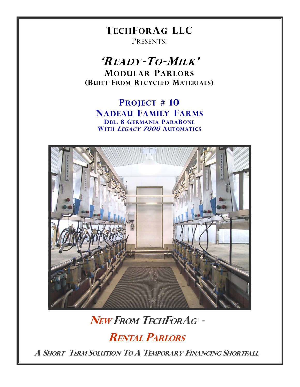### **TECHFORAG LLC** PRESENTS:

'READY-TO-MILK' **MODULAR PARLORS** (BUILT FROM RECYCLED MATERIALS)

**PROJECT # 10 NADEAU FAMILY FARMS DBL. 8 GERMANIA PARABONE** WITH LEGACY 7000 AUTOMATICS



# NEW FROM TECHFORAG -

**RENTAL PARLORS** 

A SHORT TERM SOLUTION TO A TEMPORARY FINANCING SHORTFALL